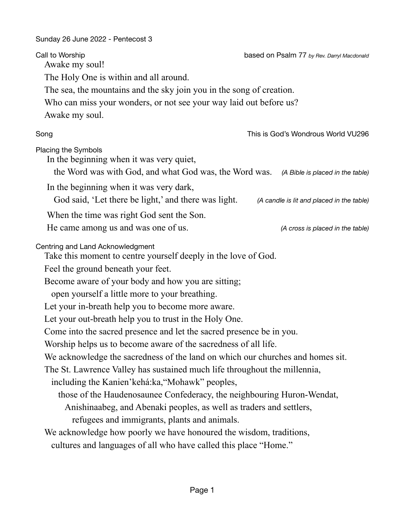Sunday 26 June 2022 - Pentecost 3 

| Call to Worship<br>Awake my soul!                                                                                         | based on Psalm 77 by Rev. Darryl Macdonald |
|---------------------------------------------------------------------------------------------------------------------------|--------------------------------------------|
| The Holy One is within and all around.                                                                                    |                                            |
| The sea, the mountains and the sky join you in the song of creation.                                                      |                                            |
| Who can miss your wonders, or not see your way laid out before us?                                                        |                                            |
| Awake my soul.                                                                                                            |                                            |
| Song                                                                                                                      | This is God's Wondrous World VU296         |
| Placing the Symbols<br>In the beginning when it was very quiet,<br>the Word was with God, and what God was, the Word was. | (A Bible is placed in the table)           |
| In the beginning when it was very dark,                                                                                   |                                            |
| God said, 'Let there be light,' and there was light.                                                                      | (A candle is lit and placed in the table)  |
| When the time was right God sent the Son.                                                                                 |                                            |
| He came among us and was one of us.                                                                                       | (A cross is placed in the table)           |
| Centring and Land Acknowledgment<br>Take this moment to centre yourself deeply in the love of God.                        |                                            |
| Feel the ground beneath your feet.                                                                                        |                                            |
| Become aware of your body and how you are sitting;                                                                        |                                            |
| open yourself a little more to your breathing.                                                                            |                                            |
| Let your in-breath help you to become more aware.                                                                         |                                            |
| Let your out-breath help you to trust in the Holy One.                                                                    |                                            |
| Come into the sacred presence and let the sacred presence be in you.                                                      |                                            |
| Worship helps us to become aware of the sacredness of all life.                                                           |                                            |
| We acknowledge the sacredness of the land on which our churches and homes sit.                                            |                                            |
| The St. Lawrence Valley has sustained much life throughout the millennia,                                                 |                                            |
| including the Kanien'kehá:ka, "Mohawk" peoples,                                                                           |                                            |
| those of the Haudenosaunee Confederacy, the neighbouring Huron-Wendat,                                                    |                                            |
| Anishinaabeg, and Abenaki peoples, as well as traders and settlers,                                                       |                                            |
| refugees and immigrants, plants and animals.                                                                              |                                            |
| We acknowledge how poorly we have honoured the wisdom, traditions,                                                        |                                            |
| cultures and languages of all who have called this place "Home."                                                          |                                            |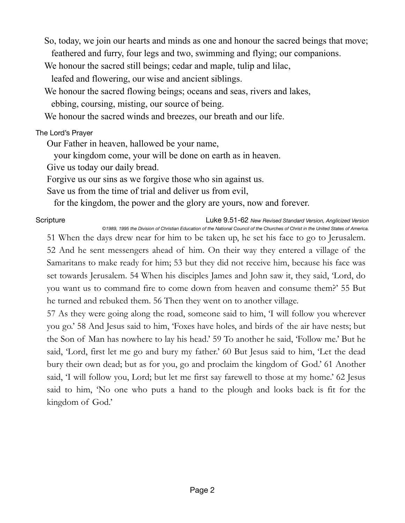So, today, we join our hearts and minds as one and honour the sacred beings that move; feathered and furry, four legs and two, swimming and flying; our companions.

We honour the sacred still beings; cedar and maple, tulip and lilac,

leafed and flowering, our wise and ancient siblings.

We honour the sacred flowing beings; oceans and seas, rivers and lakes,

ebbing, coursing, misting, our source of being.

We honour the sacred winds and breezes, our breath and our life.

## The Lord's Prayer

Our Father in heaven, hallowed be your name,

your kingdom come, your will be done on earth as in heaven.

Give us today our daily bread.

Forgive us our sins as we forgive those who sin against us.

Save us from the time of trial and deliver us from evil,

for the kingdom, the power and the glory are yours, now and forever.

Scripture Luke 9.51-62 *New Revised Standard Version, Anglicized Version ©1989, 1995 the Division of Christian Education of the National Council of the Churches of Christ in the United States of America.*

51 When the days drew near for him to be taken up, he set his face to go to Jerusalem. 52 And he sent messengers ahead of him. On their way they entered a village of the Samaritans to make ready for him; 53 but they did not receive him, because his face was set towards Jerusalem. 54 When his disciples James and John saw it, they said, 'Lord, do you want us to command fire to come down from heaven and consume them?' 55 But he turned and rebuked them. 56 Then they went on to another village.

57 As they were going along the road, someone said to him, 'I will follow you wherever you go.' 58 And Jesus said to him, 'Foxes have holes, and birds of the air have nests; but the Son of Man has nowhere to lay his head.' 59 To another he said, 'Follow me.' But he said, 'Lord, first let me go and bury my father.' 60 But Jesus said to him, 'Let the dead bury their own dead; but as for you, go and proclaim the kingdom of God.' 61 Another said, 'I will follow you, Lord; but let me first say farewell to those at my home.' 62 Jesus said to him, 'No one who puts a hand to the plough and looks back is fit for the kingdom of God.'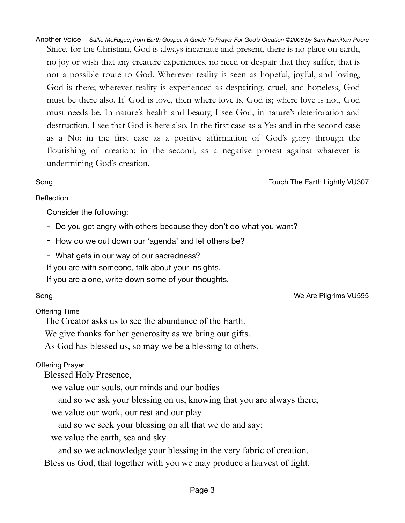Another Voice *Sallie McFague, from Earth Gospel: A Guide To Prayer For God's Creation ©2008 by Sam Hamilton-Poore*  Since, for the Christian, God is always incarnate and present, there is no place on earth, no joy or wish that any creature experiences, no need or despair that they suffer, that is not a possible route to God. Wherever reality is seen as hopeful, joyful, and loving, God is there; wherever reality is experienced as despairing, cruel, and hopeless, God must be there also. If God is love, then where love is, God is; where love is not, God must needs be. In nature's health and beauty, I see God; in nature's deterioration and destruction, I see that God is here also. In the first case as a Yes and in the second case as a No: in the first case as a positive affirmation of God's glory through the flourishing of creation; in the second, as a negative protest against whatever is undermining God's creation.

### Song Touch The Earth Lightly VU307

### Reflection

Consider the following:

- Do you get angry with others because they don't do what you want?
- How do we out down our 'agenda' and let others be?
- What gets in our way of our sacredness?

If you are with someone, talk about your insights.

If you are alone, write down some of your thoughts.

# Offering Time

The Creator asks us to see the abundance of the Earth.

We give thanks for her generosity as we bring our gifts.

As God has blessed us, so may we be a blessing to others.

# Offering Prayer

Blessed Holy Presence,

we value our souls, our minds and our bodies

and so we ask your blessing on us, knowing that you are always there;

we value our work, our rest and our play

and so we seek your blessing on all that we do and say;

we value the earth, sea and sky

and so we acknowledge your blessing in the very fabric of creation.

Bless us God, that together with you we may produce a harvest of light.

Song We Are Pilgrims VU595